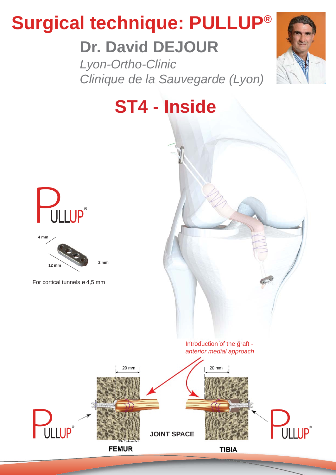# **Surgical technique: PULLUP®**

# **Dr. David DEJOUR**

*Lyon-Ortho-Clinic Clinique de la Sauvegarde (Lyon)*









For cortical tunnels ø 4,5 mm



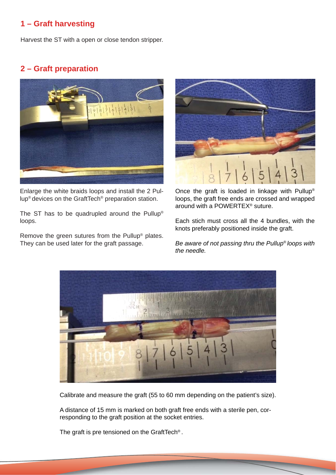# **1 – Graft harvesting**

Harvest the ST with a open or close tendon stripper.

#### **2 – Graft preparation**



Enlarge the white braids loops and install the 2 Pullup® devices on the GraftTech® preparation station.

The ST has to be quadrupled around the Pullup® loops.

Remove the green sutures from the Pullup® plates. They can be used later for the graft passage.



Once the graft is loaded in linkage with Pullup® loops, the graft free ends are crossed and wrapped around with a POWERTEX® suture.

Each stich must cross all the 4 bundles, with the knots preferably positioned inside the graft.

*Be aware of not passing thru the Pullup® loops with the needle.*



Calibrate and measure the graft (55 to 60 mm depending on the patient's size).

A distance of 15 mm is marked on both graft free ends with a sterile pen, corresponding to the graft position at the socket entries.

The graft is pre tensioned on the GraftTech® .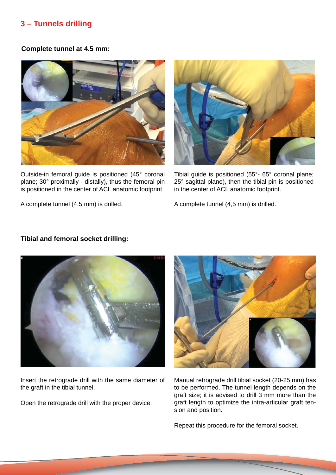# **3 – Tunnels drilling**

#### **Complete tunnel at 4.5 mm:**



Outside-in femoral guide is positioned (45° coronal plane; 30° proximally - distally), thus the femoral pin is positioned in the center of ACL anatomic footprint.

A complete tunnel (4,5 mm) is drilled.



Tibial guide is positioned (55°- 65° coronal plane; 25° sagittal plane), then the tibial pin is positioned in the center of ACL anatomic footprint.

A complete tunnel (4,5 mm) is drilled.

#### **Tibial and femoral socket drilling:**



Insert the retrograde drill with the same diameter of the graft in the tibial tunnel.

Open the retrograde drill with the proper device.



Manual retrograde drill tibial socket (20-25 mm) has to be performed. The tunnel length depends on the graft size; it is advised to drill 3 mm more than the graft length to optimize the intra-articular graft tension and position.

Repeat this procedure for the femoral socket.